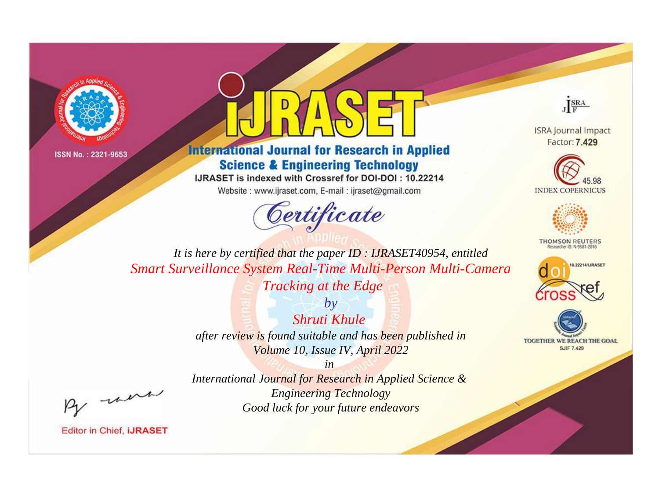



**International Journal for Research in Applied Science & Engineering Technology** 

IJRASET is indexed with Crossref for DOI-DOI: 10.22214

Website: www.ijraset.com, E-mail: ijraset@gmail.com





**ISRA Journal Impact** Factor: 7.429





**THOMSON REUTERS** 



TOGETHER WE REACH THE GOAL **SJIF 7.429** 

*It is here by certified that the paper ID : IJRASET40954, entitled Smart Surveillance System Real-Time Multi-Person Multi-Camera Tracking at the Edge*

> *by Shruti Khule after review is found suitable and has been published in Volume 10, Issue IV, April 2022*

> > *in*

*International Journal for Research in Applied Science & Engineering Technology Good luck for your future endeavors*

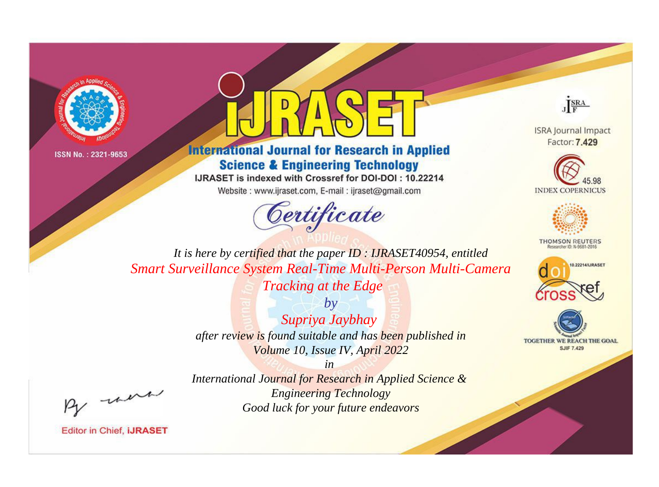



**International Journal for Research in Applied Science & Engineering Technology** 

IJRASET is indexed with Crossref for DOI-DOI : 10.22214

Website: www.ijraset.com, E-mail: ijraset@gmail.com





**ISRA Journal Impact** Factor: 7.429





**THOMSON REUTERS** 



TOGETHER WE REACH THE GOAL **SJIF 7.429** 

It is here by certified that the paper ID: IJRASET40954, entitled Smart Surveillance System Real-Time Multi-Person Multi-Camera Tracking at the Edge

> $by$ Supriya Jaybhay after review is found suitable and has been published in Volume 10, Issue IV, April 2022

> > $in$

International Journal for Research in Applied Science & **Engineering Technology** Good luck for your future endeavors

were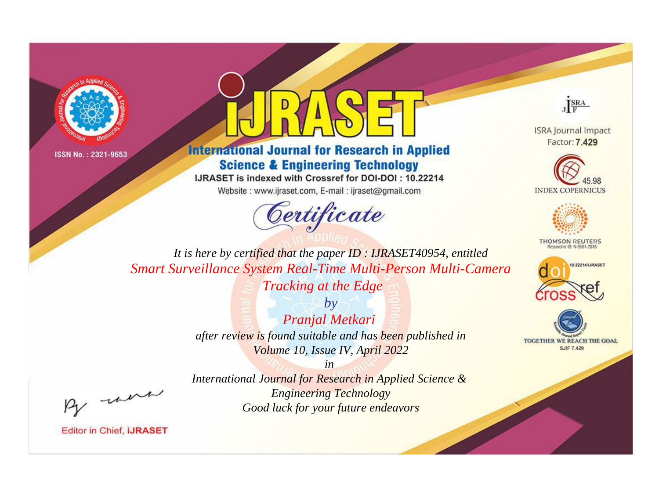



**International Journal for Research in Applied Science & Engineering Technology** 

IJRASET is indexed with Crossref for DOI-DOI: 10.22214

Website: www.ijraset.com, E-mail: ijraset@gmail.com





**ISRA Journal Impact** Factor: 7.429





**THOMSON REUTERS** 



TOGETHER WE REACH THE GOAL **SJIF 7.429** 

*It is here by certified that the paper ID : IJRASET40954, entitled Smart Surveillance System Real-Time Multi-Person Multi-Camera Tracking at the Edge*

> *by Pranjal Metkari after review is found suitable and has been published in Volume 10, Issue IV, April 2022*

, un

*International Journal for Research in Applied Science & Engineering Technology Good luck for your future endeavors*

*in*